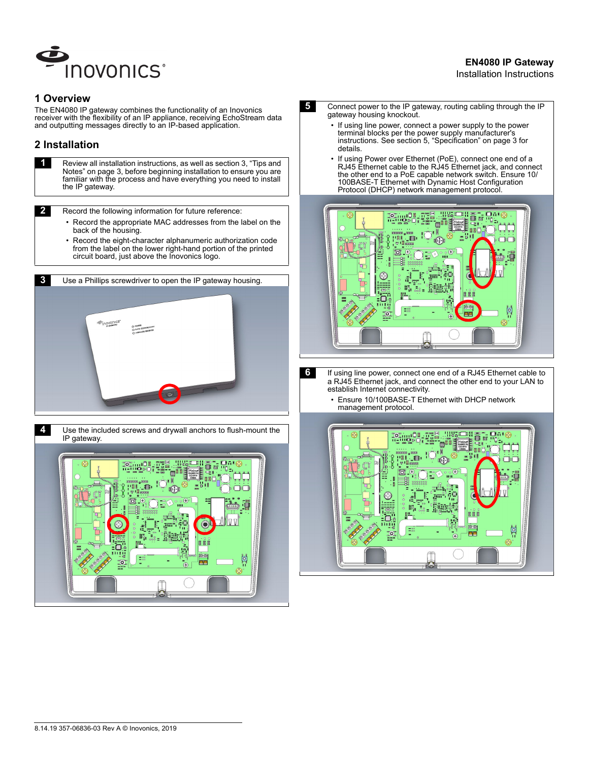

# **EN4080 IP Gateway**

#### Installation Instructions

### **1 Overview**

The EN4080 IP gateway combines the functionality of an Inovonics receiver with the flexibility of an IP appliance, receiving EchoStream data and outputting messages directly to an IP-based application.

# **2 Installation**

**1 Review all installation instructions, as well as section 3, "Tips and** Notes" on page 3, before beginning installation to ensure you are familiar with the process and have everything you need to install the IP gateway.

**2** Record the following information for future reference:

- Record the appropriate MAC addresses from the label on the back of the housing.
- Record the eight-character alphanumeric authorization code from the label on the lower right-hand portion of the printed circuit board, just above the Inovonics logo.





- **5** Connect power to the IP gateway, routing cabling through the IP gateway housing knockout.
	- If using line power, connect a power supply to the power terminal blocks per the power supply manufacturer's instructions. See section 5, "Specification" on page 3 for details.
	- If using Power over Ethernet (PoE), connect one end of a RJ45 Ethernet cable to the RJ45 Ethernet jack, and connect the other end to a PoE capable network switch. Ensure 10/ 100BASE-T Ethernet with Dynamic Host Configuration Protocol (DHCP) network management protocol.



**6** If using line power, connect one end of a RJ45 Ethernet cable to a RJ45 Ethernet jack, and connect the other end to your LAN to establish Internet connectivity.

> • Ensure 10/100BASE-T Ethernet with DHCP network management protocol.

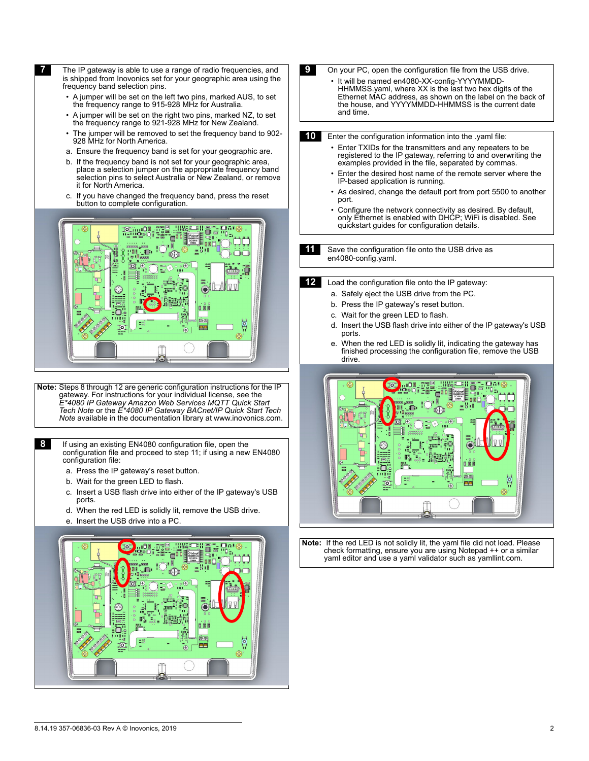**T** The IP gateway is able to use a range of radio frequencies, and is shipped from Inovonics set for your geographic area using the frequency band selection pins.

- A jumper will be set on the left two pins, marked AUS, to set the frequency range to 915-928 MHz for Australia.
- A jumper will be set on the right two pins, marked NZ, to set the frequency range to 921-928 MHz for New Zealand.
- The jumper will be removed to set the frequency band to 902-928 MHz for North America.
- a. Ensure the frequency band is set for your geographic are.
- b. If the frequency band is not set for your geographic area, place a selection jumper on the appropriate frequency band selection pins to select Australia or New Zealand, or remove it for North America.
- c. If you have changed the frequency band, press the reset button to complete configuration.



 **Note:** Steps 8 through 12 are generic configuration instructions for the IP gateway. For instructions for your individual license, see the *E\*4080 IP Gateway Amazon Web Services MQTT Quick Start Tech Note* or the *E\*4080 IP Gateway BACnet/IP Quick Start Tech Note* available in the documentation library at www.inovonics.com.

**8** If using an existing EN4080 configuration file, open the configuration file and proceed to step 11; if using a new EN4080 configuration file:

- a. Press the IP gateway's reset button.
- b. Wait for the green LED to flash.
- c. Insert a USB flash drive into either of the IP gateway's USB ports.
- d. When the red LED is solidly lit, remove the USB drive.
- e. Insert the USB drive into a PC.



- **9** On your PC, open the configuration file from the USB drive. • It will be named en4080-XX-config-YYYYMMDD-HHMMSS.yaml, where XX is the last two hex digits of the Ethernet MAC address, as shown on the label on the back of the house, and YYYYMMDD-HHMMSS is the current date and time. **10** Enter the configuration information into the .yaml file: • Enter TXIDs for the transmitters and any repeaters to be registered to the IP gateway, referring to and overwriting the examples provided in the file, separated by commas.
	- Enter the desired host name of the remote server where the IP-based application is running.
	- As desired, change the default port from port 5500 to another port.
	- Configure the network connectivity as desired. By default, only Ethernet is enabled with DHCP; WiFi is disabled. See quickstart guides for configuration details.

**11** Save the configuration file onto the USB drive as en4080-config.yaml.

**12** Load the configuration file onto the IP gateway:

- a. Safely eject the USB drive from the PC.
- b. Press the IP gateway's reset button.
- c. Wait for the green LED to flash.
- d. Insert the USB flash drive into either of the IP gateway's USB ports.
- e. When the red LED is solidly lit, indicating the gateway has finished processing the configuration file, remove the USB drive.



 **Note:** If the red LED is not solidly lit, the yaml file did not load. Please check formatting, ensure you are using Notepad ++ or a similar yaml editor and use a yaml validator such as yamllint.com.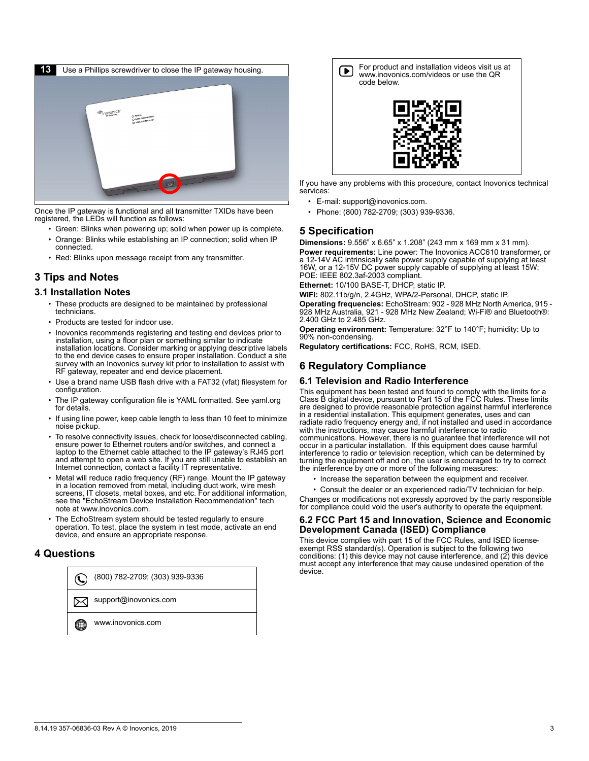

Once the IP gateway is functional and all transmitter TXIDs have been registered, the LEDs will function as follows:

- Green: Blinks when powering up; solid when power up is complete.
- Orange: Blinks while establishing an IP connection; solid when IP connected.
- Red: Blinks upon message receipt from any transmitter.

# **3 Tips and Notes**

### **3.1 Installation Notes**

- These products are designed to be maintained by professional technicians.
- Products are tested for indoor use.
- Inovonics recommends registering and testing end devices prior to installation, using a floor plan or something similar to indicate installation locations. Consider marking or applying descriptive labels to the end device cases to ensure proper installation. Conduct a site survey with an Inovonics survey kit prior to installation to assist with RF gateway, repeater and end device placement.
- Use a brand name USB flash drive with a FAT32 (vfat) filesystem for configuration.
- The IP gateway configuration file is YAML formatted. See yaml.org for details.
- If using line power, keep cable length to less than 10 feet to minimize noise pickup.
- To resolve connectivity issues, check for loose/disconnected cabling, ensure power to Ethernet routers and/or switches, and connect a laptop to the Ethernet cable attached to the IP gateway's RJ45 port and attempt to open a web site. If you are still unable to establish an Internet connection, contact a facility IT representative.
- Metal will reduce radio frequency (RF) range. Mount the IP gateway in a location removed from metal, including duct work, wire mesh screens, IT closets, metal boxes, and etc. For additional information, see the "EchoStream Device Installation Recommendation" tech note at www.inovonics.com.
- The EchoStream system should be tested regularly to ensure operation. To test, place the system in test mode, activate an end device, and ensure an appropriate response.

### **4 Questions**





If you have any problems with this procedure, contact Inovonics technical services:

- E-mail: support@inovonics.com.
- Phone: (800) 782-2709; (303) 939-9336.

### **5 Specification**

**Dimensions:** 9.556" x 6.65" x 1.208" (243 mm x 169 mm x 31 mm). **Power requirements:** Line power: The Inovonics ACC610 transformer, or a 12-14V AC intrinsically safe power supply capable of supplying at least 16W, or a 12-15V DC power supply capable of supplying at least 15W; POE: IEEE 802.3af-2003 compliant.

**Ethernet:** 10/100 BASE-T, DHCP, static IP.

**WiFi:** 802.11b/g/n, 2.4GHz, WPA/2-Personal, DHCP, static IP. **Operating frequencies:** EchoStream: 902 - 928 MHz North America, 915 - 928 MHz Australia, 921 - 928 MHz New Zealand; Wi-Fi® and Bluetooth®: 2.400 GHz to 2.485 GHz.

**Operating environment:** Temperature: 32°F to 140°F; humidity: Up to 90% non-condensing.

**Regulatory certifications:** FCC, RoHS, RCM, ISED.

## **6 Regulatory Compliance**

### **6.1 Television and Radio Interference**

This equipment has been tested and found to comply with the limits for a Class B digital device, pursuant to Part 15 of the FCC Rules. These limits are designed to provide reasonable protection against harmful interference in a residential installation. This equipment generates, uses and can radiate radio frequency energy and, if not installed and used in accordance with the instructions, may cause harmful interference to radio communications. However, there is no guarantee that interference will not occur in a particular installation. If this equipment does cause harmful interference to radio or television reception, which can be determined by turning the equipment off and on, the user is encouraged to try to correct the interference by one or more of the following measures:

- Increase the separation between the equipment and receiver.
- Consult the dealer or an experienced radio/TV technician for help.

Changes or modifications not expressly approved by the party responsible for compliance could void the user's authority to operate the equipment.

#### **6.2 FCC Part 15 and Innovation, Science and Economic Development Canada (ISED) Compliance**

This device complies with part 15 of the FCC Rules, and ISED license- exempt RSS standard(s). Operation is subject to the following two conditions: (1) this device may not cause interference, and (2) this device must accept any interference that may cause undesired operation of the device.